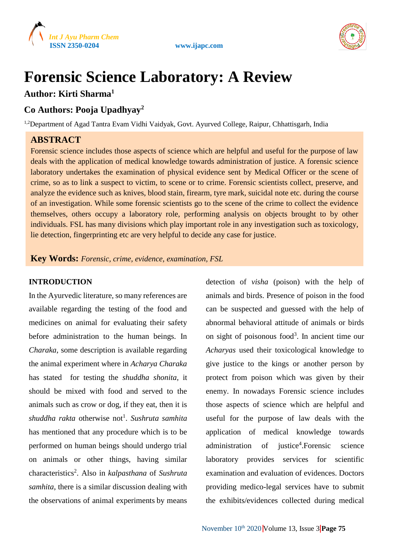



# **Forensic Science Laboratory: A Review**

# **Author: Kirti Sharma<sup>1</sup>**

# **Co Authors: Pooja Upadhyay<sup>2</sup>**

<sup>1,2</sup>Department of Agad Tantra Evam Vidhi Vaidyak, Govt. Ayurved College, Raipur, Chhattisgarh, India

# **ABSTRACT**

Forensic science includes those aspects of science which are helpful and useful for the purpose of law deals with the application of medical knowledge towards administration of justice. A forensic science laboratory undertakes the examination of physical evidence sent by Medical Officer or the scene of crime, so as to link a suspect to victim, to scene or to crime. Forensic scientists collect, preserve, and analyze the evidence such as knives, blood stain, firearm, tyre mark, suicidal note etc. during the course of an investigation. While some forensic scientists go to the scene of the crime to collect the evidence themselves, others occupy a laboratory role, performing analysis on objects brought to by other individuals. FSL has many divisions which play important role in any investigation such as toxicology, lie detection, fingerprinting etc are very helpful to decide any case for justice.

**Key Words:** *Forensic, crime, evidence, examination, FSL*

# **INTRODUCTION**

In the Ayurvedic literature, so many references are available regarding the testing of the food and medicines on animal for evaluating their safety before administration to the human beings. In *Charaka*, some description is available regarding the animal experiment where in *Acharya Charaka* has stated for testing the *shuddha shonita*, it should be mixed with food and served to the animals such as crow or dog, if they eat, then it is shuddha rakta otherwise not<sup>1</sup>. Sushruta samhita has mentioned that any procedure which is to be performed on human beings should undergo trial on animals or other things, having similar characteristics<sup>2</sup> . Also in *kalpasthana* of *Sushruta samhita*, there is a similar discussion dealing with the observations of animal experiments by means

detection of *visha* (poison) with the help of animals and birds. Presence of poison in the food can be suspected and guessed with the help of abnormal behavioral attitude of animals or birds on sight of poisonous food<sup>3</sup>. In ancient time our *Acharyas* used their toxicological knowledge to give justice to the kings or another person by protect from poison which was given by their enemy. In nowadays Forensic science includes those aspects of science which are helpful and useful for the purpose of law deals with the application of medical knowledge towards administration of justice<sup>4</sup>.Forensic science laboratory provides services for scientific examination and evaluation of evidences. Doctors providing medico-legal services have to submit the exhibits/evidences collected during medical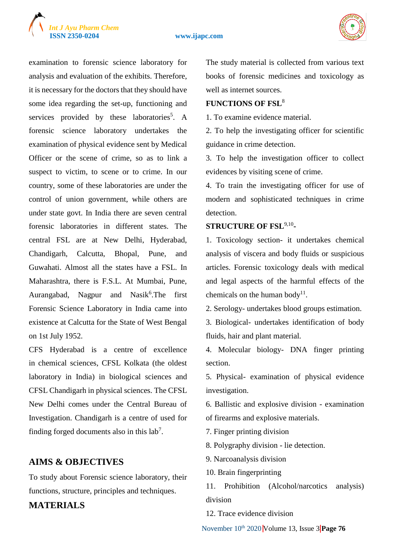

#### **ISSN 2350-0204 www.ijapc.com**



examination to forensic science laboratory for analysis and evaluation of the exhibits. Therefore, it is necessary for the doctors that they should have some idea regarding the set-up, functioning and services provided by these laboratories<sup>5</sup>. A forensic science laboratory undertakes the examination of physical evidence sent by Medical Officer or the scene of crime, so as to link a suspect to victim, to scene or to crime. In our country, some of these laboratories are under the control of union government, while others are under state govt. In India there are seven central forensic laboratories in different states. The central FSL are at New Delhi, Hyderabad, Chandigarh, Calcutta, Bhopal, Pune, and Guwahati. Almost all the states have a FSL. In Maharashtra, there is F.S.L. At Mumbai, Pune, Aurangabad, Nagpur and Nasik<sup>6</sup>. The first Forensic Science Laboratory in India came into existence at Calcutta for the State of West Bengal on 1st July 1952.

CFS Hyderabad is a centre of excellence in chemical sciences, CFSL Kolkata (the oldest laboratory in India) in biological sciences and CFSL Chandigarh in physical sciences. The CFSL New Delhi comes under the Central Bureau of Investigation. Chandigarh is a centre of used for finding forged documents also in this  $lab<sup>7</sup>$ .

# **AIMS & OBJECTIVES**

To study about Forensic science laboratory, their functions, structure, principles and techniques.

**MATERIALS**

The study material is collected from various text books of forensic medicines and toxicology as well as internet sources.

#### **FUNCTIONS OF FSL**<sup>8</sup>

1. To examine evidence material.

2. To help the investigating officer for scientific guidance in crime detection.

3. To help the investigation officer to collect evidences by visiting scene of crime.

4. To train the investigating officer for use of modern and sophisticated techniques in crime detection.

#### **STRUCTURE OF FSL**9,10 **-**

1. Toxicology section- it undertakes chemical analysis of viscera and body fluids or suspicious articles. Forensic toxicology deals with medical and legal aspects of the harmful effects of the chemicals on the human body<sup>11</sup>.

2. Serology- undertakes blood groups estimation.

3. Biological- undertakes identification of body fluids, hair and plant material.

4. Molecular biology- DNA finger printing section.

5. Physical- examination of physical evidence investigation.

6. Ballistic and explosive division - examination of firearms and explosive materials.

7. Finger printing division

8. Polygraphy division - lie detection.

9. Narcoanalysis division

10. Brain fingerprinting

11. Prohibition (Alcohol/narcotics analysis) division

12. Trace evidence division

November 10th 2020 Volume 13, Issue 3 **Page 76**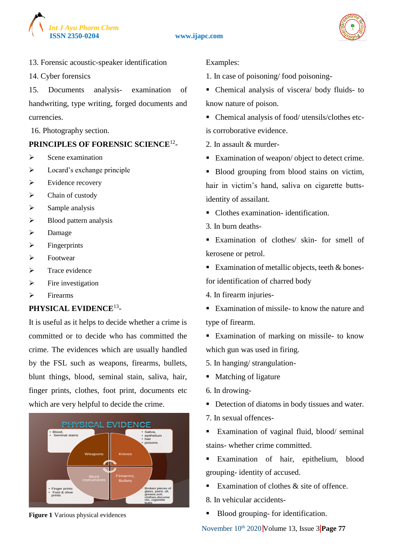



13. Forensic acoustic-speaker identification

14. Cyber forensics

15. Documents analysis- examination of handwriting, type writing, forged documents and currencies.

16. Photography section.

# **PRINCIPLES OF FORENSIC SCIENCE**<sup>12</sup> -

- $\triangleright$  Scene examination
- $\triangleright$  Locard's exchange principle
- $\triangleright$  Evidence recovery
- $\triangleright$  Chain of custody
- $\triangleright$  Sample analysis
- $\triangleright$  Blood pattern analysis
- $\triangleright$  Damage
- $\triangleright$  Fingerprints
- Footwear
- $\triangleright$  Trace evidence
- $\triangleright$  Fire investigation
- $\triangleright$  Firearms

# **PHYSICAL EVIDENCE**<sup>13</sup> -

It is useful as it helps to decide whether a crime is committed or to decide who has committed the crime. The evidences which are usually handled by the FSL such as weapons, firearms, bullets, blunt things, blood, seminal stain, saliva, hair, finger prints, clothes, foot print, documents etc which are very helpful to decide the crime.



**Figure 1** Various physical evidences

Examples:

1. In case of poisoning/ food poisoning-

- Chemical analysis of viscera/ body fluids- to know nature of poison.
- Chemical analysis of food/ utensils/clothes etcis corroborative evidence.
- 2. In assault & murder-
- Examination of weapon/ object to detect crime.
- Blood grouping from blood stains on victim, hair in victim's hand, saliva on cigarette buttsidentity of assailant.
- Clothes examination- identification.
- 3. In burn deaths-
- Examination of clothes/ skin- for smell of kerosene or petrol.
- Examination of metallic objects, teeth & bonesfor identification of charred body
- 4. In firearm injuries-
- Examination of missile- to know the nature and type of firearm.
- **Examination of marking on missile- to know** which gun was used in firing.
- 5. In hanging/ strangulation-
- Matching of ligature
- 6. In drowing-
- Detection of diatoms in body tissues and water.
- 7. In sexual offences-
- Examination of vaginal fluid, blood/ seminal stains- whether crime committed.
- Examination of hair, epithelium, blood grouping- identity of accused.
- Examination of clothes  $\&$  site of offence.
- 8. In vehicular accidents-
- Blood grouping- for identification.

November 10<sup>th</sup> 2020 Volume 13, Issue 3 **Page 77**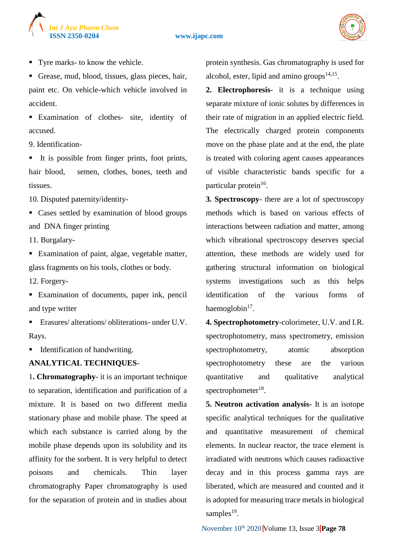# *Int J Ayu Pharm Chem*

#### **ISSN 2350-0204 www.ijapc.com**



- Tyre marks- to know the vehicle.
- Grease, mud, blood, tissues, glass pieces, hair, paint etc. On vehicle-which vehicle involved in accident.
- Examination of clothes- site, identity of accused.
- 9. Identification-
- It is possible from finger prints, foot prints, hair blood, semen, clothes, bones, teeth and tissues.
- 10. Disputed paternity/identity-
- Cases settled by examination of blood groups and DNA finger printing
- 11. Burgalary-
- Examination of paint, algae, vegetable matter, glass fragments on his tools, clothes or body.
- 12. Forgery-
- Examination of documents, paper ink, pencil and type writer
- Erasures/ alterations/ obliterations- under U.V. Rays.
- Identification of handwriting.

# **ANALYTICAL TECHNIQUES**-

1**. Chromatography**- it is an important technique to separation, identification and purification of a mixture. It is based on two different media stationary phase and mobile phase. The speed at which each substance is carried along by the mobile phase depends upon its solubility and its affinity for the sorbent. It is very helpful to detect poisons and chemicals. Thin layer chromatography Paper chromatography is used for the separation of protein and in studies about protein synthesis. Gas chromatography is used for alcohol, ester, lipid and amino groups $14,15$ .

- **2. Electrophoresis** it is a technique using separate mixture of ionic solutes by differences in their rate of migration in an applied electric field. The electrically charged protein components move on the phase plate and at the end, the plate is treated with coloring agent causes appearances of visible characteristic bands specific for a particular protein<sup>16</sup>.
- **3. Spectroscopy** there are a lot of spectroscopy methods which is based on various effects of interactions between radiation and matter, among which vibrational spectroscopy deserves special attention, these methods are widely used for gathering structural information on biological systems investigations such as this helps identification of the various forms of haemoglobin $17$ .
- **4. Spectrophotometry**-colorimeter, U.V. and I.R. spectrophotometry, mass spectrometry, emission spectrophotometry, atomic absorption spectrophotometry these are the various quantitative and qualitative analytical spectrophometer<sup>18</sup>.
- **5. Neutron activation analysis-** It is an isotope specific analytical techniques for the qualitative and quantitative measurement of chemical elements. In nuclear reactor, the trace element is irradiated with neutrons which causes radioactive decay and in this process gamma rays are liberated, which are measured and counted and it is adopted for measuring trace metals in biological samples $^{19}$ .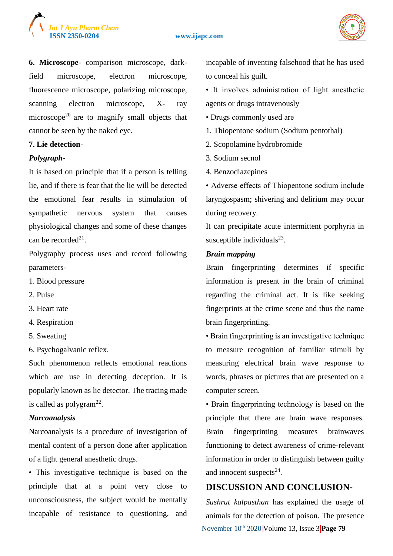

#### **ISSN 2350-0204 www.ijapc.com**



**6. Microscope**- comparison microscope, darkfield microscope, electron microscope, fluorescence microscope, polarizing microscope, scanning electron microscope, X- ray microscope<sup>20</sup> are to magnify small objects that cannot be seen by the naked eye.

#### **7. Lie detection**-

#### *Polygraph-*

It is based on principle that if a person is telling lie, and if there is fear that the lie will be detected the emotional fear results in stimulation of sympathetic nervous system that causes physiological changes and some of these changes can be recorded<sup>21</sup>.

Polygraphy process uses and record following parameters-

- 1. Blood pressure
- 2. Pulse
- 3. Heart rate
- 4. Respiration
- 5. Sweating
- 6. Psychogalvanic reflex.

Such phenomenon reflects emotional reactions which are use in detecting deception. It is popularly known as lie detector. The tracing made is called as polygram $^{22}$ .

### *Narcoanalysis*

Narcoanalysis is a procedure of investigation of mental content of a person done after application of a light general anesthetic drugs.

• This investigative technique is based on the principle that at a point very close to unconsciousness, the subject would be mentally incapable of resistance to questioning, and incapable of inventing falsehood that he has used to conceal his guilt.

• It involves administration of light anesthetic agents or drugs intravenously

- Drugs commonly used are
- 1. Thiopentone sodium (Sodium pentothal)
- 2. Scopolamine hydrobromide
- 3. Sodium secnol
- 4. Benzodiazepines

• Adverse effects of Thiopentone sodium include laryngospasm; shivering and delirium may occur during recovery.

It can precipitate acute intermittent porphyria in susceptible individuals $^{23}$ .

#### *Brain mapping*

Brain fingerprinting determines if specific information is present in the brain of criminal regarding the criminal act. It is like seeking fingerprints at the crime scene and thus the name brain fingerprinting.

• Brain fingerprinting is an investigative technique to measure recognition of familiar stimuli by measuring electrical brain wave response to words, phrases or pictures that are presented on a computer screen.

• Brain fingerprinting technology is based on the principle that there are brain wave responses. Brain fingerprinting measures brainwaves functioning to detect awareness of crime-relevant information in order to distinguish between guilty and innocent suspects $24$ .

# **DISCUSSION AND CONCLUSION-**

November 10th 2020 Volume 13, Issue 3 **Page 79** *Sushrut kalpasthan* has explained the usage of animals for the detection of poison. The presence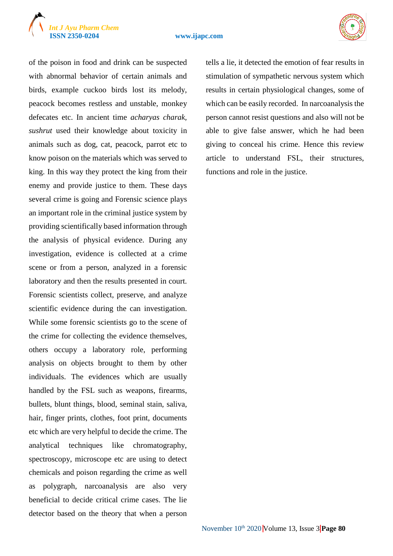# *Int J Ayu Pharm Chem*

#### **ISSN 2350-0204 www.ijapc.com**



of the poison in food and drink can be suspected with abnormal behavior of certain animals and birds, example cuckoo birds lost its melody, peacock becomes restless and unstable, monkey defecates etc. In ancient time *acharyas charak, sushrut* used their knowledge about toxicity in animals such as dog, cat, peacock, parrot etc to know poison on the materials which was served to king. In this way they protect the king from their enemy and provide justice to them. These days several crime is going and Forensic science plays an important role in the criminal justice system by providing scientifically based information through the analysis of physical evidence. During any investigation, evidence is collected at a crime scene or from a person, analyzed in a forensic laboratory and then the results presented in court. Forensic scientists collect, preserve, and analyze scientific evidence during the can investigation. While some forensic scientists go to the scene of the crime for collecting the evidence themselves, others occupy a laboratory role, performing analysis on objects brought to them by other individuals. The evidences which are usually handled by the FSL such as weapons, firearms, bullets, blunt things, blood, seminal stain, saliva, hair, finger prints, clothes, foot print, documents etc which are very helpful to decide the crime. The analytical techniques like chromatography, spectroscopy, microscope etc are using to detect chemicals and poison regarding the crime as well as polygraph, narcoanalysis are also very beneficial to decide critical crime cases. The lie detector based on the theory that when a person

tells a lie, it detected the emotion of fear results in stimulation of sympathetic nervous system which results in certain physiological changes, some of which can be easily recorded. In narcoanalysis the person cannot resist questions and also will not be able to give false answer, which he had been giving to conceal his crime. Hence this review article to understand FSL, their structures, functions and role in the justice.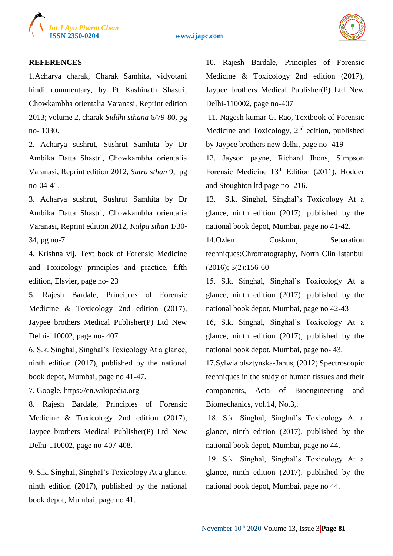

**ISSN 2350-0204 www.ijapc.com**



#### **REFERENCES**-

1.Acharya charak, Charak Samhita, vidyotani hindi commentary, by Pt Kashinath Shastri, Chowkambha orientalia Varanasi, Reprint edition 2013; volume 2, charak *Siddhi sthana* 6/79-80, pg no- 1030.

2. Acharya sushrut, Sushrut Samhita by Dr Ambika Datta Shastri, Chowkambha orientalia Varanasi, Reprint edition 2012, *Sutra sthan* 9, pg no-04-41.

3. Acharya sushrut, Sushrut Samhita by Dr Ambika Datta Shastri, Chowkambha orientalia Varanasi, Reprint edition 2012, *Kalpa sthan* 1/30- 34, pg no-7.

4. Krishna vij, Text book of Forensic Medicine and Toxicology principles and practice, fifth edition, Elsvier, page no- 23

5. Rajesh Bardale, Principles of Forensic Medicine & Toxicology 2nd edition (2017), Jaypee brothers Medical Publisher(P) Ltd New Delhi-110002, page no- 407

6. S.k. Singhal, Singhal's Toxicology At a glance, ninth edition (2017), published by the national book depot, Mumbai, page no 41-47.

7. Google, https://en.wikipedia.org

8. Rajesh Bardale, Principles of Forensic Medicine & Toxicology 2nd edition (2017), Jaypee brothers Medical Publisher(P) Ltd New Delhi-110002, page no-407-408.

9. S.k. Singhal, Singhal's Toxicology At a glance, ninth edition (2017), published by the national book depot, Mumbai, page no 41.

10. Rajesh Bardale, Principles of Forensic Medicine & Toxicology 2nd edition (2017), Jaypee brothers Medical Publisher(P) Ltd New Delhi-110002, page no-407

11. Nagesh kumar G. Rao, Textbook of Forensic Medicine and Toxicology,  $2<sup>nd</sup>$  edition, published by Jaypee brothers new delhi, page no- 419

12. Jayson payne, Richard Jhons, Simpson Forensic Medicine 13<sup>th</sup> Edition (2011), Hodder and Stoughton ltd page no- 216.

13. S.k. Singhal, Singhal's Toxicology At a glance, ninth edition (2017), published by the national book depot, Mumbai, page no 41-42.

14.Ozlem Coskum, Separation techniques:Chromatography, North Clin Istanbul (2016); 3(2):156-60

15. S.k. Singhal, Singhal's Toxicology At a glance, ninth edition (2017), published by the national book depot, Mumbai, page no 42-43

16, S.k. Singhal, Singhal's Toxicology At a glance, ninth edition (2017), published by the national book depot, Mumbai, page no- 43.

17.Sylwia olsztynska-Janus, (2012) Spectroscopic techniques in the study of human tissues and their components, Acta of Bioengineering and Biomechanics, vol.14, No.3,.

18. S.k. Singhal, Singhal's Toxicology At a glance, ninth edition (2017), published by the national book depot, Mumbai, page no 44.

19. S.k. Singhal, Singhal's Toxicology At a glance, ninth edition (2017), published by the national book depot, Mumbai, page no 44.